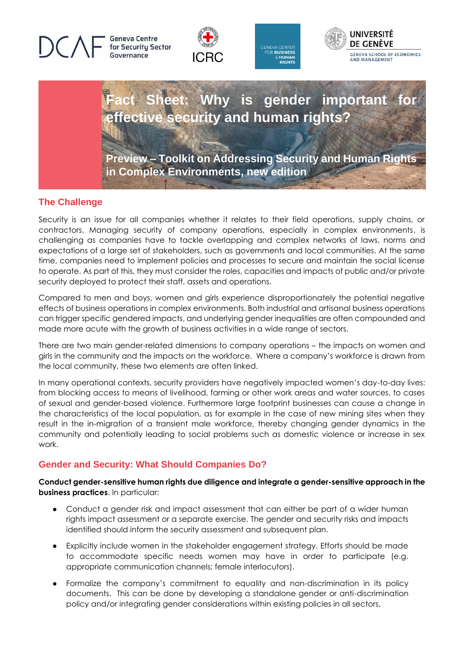**Geneva Centre** for Security Sector









## **The Challenge**

Security is an issue for all companies whether it relates to their field operations, supply chains, or contractors. Managing security of company operations, especially in complex environments, is challenging as companies have to tackle overlapping and complex networks of laws, norms and expectations of a large set of stakeholders, such as governments and local communities. At the same time, companies need to implement policies and processes to secure and maintain the social license to operate. As part of this, they must consider the roles, capacities and impacts of public and/or private security deployed to protect their staff, assets and operations.

Compared to men and boys, women and girls experience disproportionately the potential negative effects of business operations in complex environments. Both industrial and artisanal business operations can trigger specific gendered impacts, and underlying gender inequalities are often compounded and made more acute with the growth of business activities in a wide range of sectors.

There are two main gender-related dimensions to company operations – the impacts on women and girls in the community and the impacts on the workforce. Where a company's workforce is drawn from the local community, these two elements are often linked.

In many operational contexts, security providers have negatively impacted women's day-to-day lives: from blocking access to means of livelihood, farming or other work areas and water sources, to cases of sexual and gender-based violence. Furthermore large footprint businesses can cause a change in the characteristics of the local population, as for example in the case of new mining sites when they result in the in-migration of a transient male workforce, thereby changing gender dynamics in the community and potentially leading to social problems such as domestic violence or increase in sex work.

# **Gender and Security: What Should Companies Do?**

#### **Conduct gender-sensitive human rights due diligence and integrate a gender-sensitive approach in the business practices**. In particular:

- Conduct a gender risk and impact assessment that can either be part of a wider human rights impact assessment or a separate exercise. The gender and security risks and impacts identified should inform the security assessment and subsequent plan.
- Explicitly include women in the stakeholder engagement strategy. Efforts should be made to accommodate specific needs women may have in order to participate (e.g. appropriate communication channels; female interlocutors).
- Formalize the company's commitment to equality and non-discrimination in its policy documents. This can be done by developing a standalone gender or anti-discrimination policy and/or integrating gender considerations within existing policies in all sectors.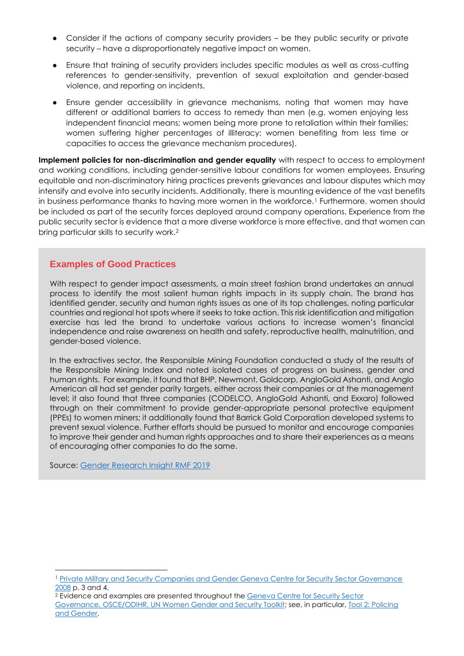- Consider if the actions of company security providers be they public security or private security – have a disproportionately negative impact on women.
- Ensure that training of security providers includes specific modules as well as cross-cutting references to gender-sensitivity, prevention of sexual exploitation and gender-based violence, and reporting on incidents.
- Ensure gender accessibility in grievance mechanisms, noting that women may have different or additional barriers to access to remedy than men (e.g. women enjoying less independent financial means; women being more prone to retaliation within their families; women suffering higher percentages of illiteracy; women benefiting from less time or capacities to access the grievance mechanism procedures).

**Implement policies for non-discrimination and gender equality** with respect to access to employment and working conditions, including gender-sensitive labour conditions for women employees. Ensuring equitable and non-discriminatory hiring practices prevents grievances and labour disputes which may intensify and evolve into security incidents. Additionally, there is mounting evidence of the vast benefits in business performance thanks to having more women in the workforce.<sup>1</sup> Furthermore, women should be included as part of the security forces deployed around company operations. Experience from the public security sector is evidence that a more diverse workforce is more effective, and that women can bring particular skills to security work.<sup>2</sup>

#### **Examples of Good Practices**

With respect to gender impact assessments, a main street fashion brand undertakes an annual process to identify the most salient human rights impacts in its supply chain. The brand has identified gender, security and human rights issues as one of its top challenges, noting particular countries and regional hot spots where it seeks to take action. This risk identification and mitigation exercise has led the brand to undertake various actions to increase women's financial independence and raise awareness on health and safety, reproductive health, malnutrition, and gender-based violence.

In the extractives sector, the Responsible Mining Foundation conducted a study of the results of the Responsible Mining Index and noted isolated cases of progress on business, gender and human rights. For example, it found that BHP, Newmont, Goldcorp, AngloGold Ashanti, and Anglo American all had set gender parity targets, either across their companies or at the management level; it also found that three companies (CODELCO, AngloGold Ashanti, and Exxaro) followed through on their commitment to provide gender-appropriate personal protective equipment (PPEs) to women miners; it additionally found that Barrick Gold Corporation developed systems to prevent sexual violence. Further efforts should be pursued to monitor and encourage companies to improve their gender and human rights approaches and to share their experiences as a means of encouraging other companies to do the same.

Source: [Gender Research Insight RMF](https://www.responsibleminingfoundation.org/app/uploads/2019/04/RMF-Gender-Research-Insight.pdf) 2019

<sup>&</sup>lt;sup>1</sup> Private Military and Security Companies and Gender Geneva Centre for Security Sector Governance [2008](https://www.dcaf.ch/private-military-and-security-companies-and-gender-tool-10) p. 3 and 4.

<sup>&</sup>lt;sup>2</sup> Evidence and examples are presented throughout the **Geneva Centre for Security Sector** [Governance, OSCE/ODIHR, UN Women Gender and Security Toolkit;](https://www.dcaf.ch/gender-and-security-toolkit) see, in particular, [Tool 2: Policing](https://www.dcaf.ch/node/13591)  [and Gender.](https://www.dcaf.ch/node/13591)